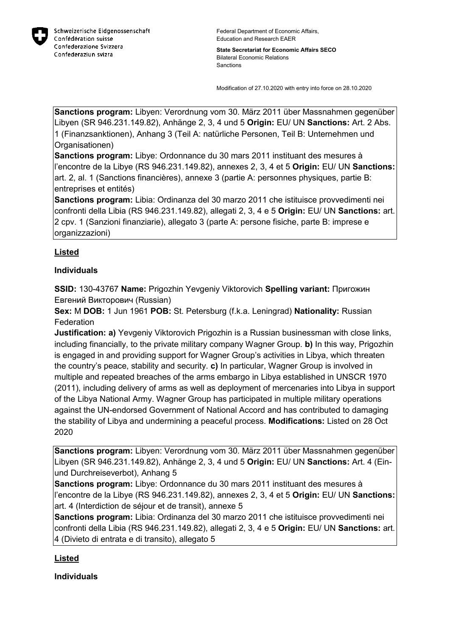

**State Secretariat for Economic Affairs SECO** Bilateral Economic Relations Sanctions

Modification of 27.10.2020 with entry into force on 28.10.2020

**Sanctions program:** Libyen: Verordnung vom 30. März 2011 über Massnahmen gegenüber Libyen (SR 946.231.149.82), Anhänge 2, 3, 4 und 5 **Origin:** EU/ UN **Sanctions:** Art. 2 Abs. 1 (Finanzsanktionen), Anhang 3 (Teil A: natürliche Personen, Teil B: Unternehmen und Organisationen)

**Sanctions program:** Libye: Ordonnance du 30 mars 2011 instituant des mesures à l'encontre de la Libye (RS 946.231.149.82), annexes 2, 3, 4 et 5 **Origin:** EU/ UN **Sanctions:** art. 2, al. 1 (Sanctions financières), annexe 3 (partie A: personnes physiques, partie B: entreprises et entités)

**Sanctions program:** Libia: Ordinanza del 30 marzo 2011 che istituisce provvedimenti nei confronti della Libia (RS 946.231.149.82), allegati 2, 3, 4 e 5 **Origin:** EU/ UN **Sanctions:** art. 2 cpv. 1 (Sanzioni finanziarie), allegato 3 (parte A: persone fisiche, parte B: imprese e organizzazioni)

## **Listed**

## **Individuals**

**SSID:** 130-43767 **Name:** Prigozhin Yevgeniy Viktorovich **Spelling variant:** Пригожин Евгений Викторович (Russian)

**Sex:** M **DOB:** 1 Jun 1961 **POB:** St. Petersburg (f.k.a. Leningrad) **Nationality:** Russian **Federation** 

**Justification: a)** Yevgeniy Viktorovich Prigozhin is a Russian businessman with close links, including financially, to the private military company Wagner Group. **b)** In this way, Prigozhin is engaged in and providing support for Wagner Group's activities in Libya, which threaten the country's peace, stability and security. **c)** In particular, Wagner Group is involved in multiple and repeated breaches of the arms embargo in Libya established in UNSCR 1970 (2011), including delivery of arms as well as deployment of mercenaries into Libya in support of the Libya National Army. Wagner Group has participated in multiple military operations against the UN-endorsed Government of National Accord and has contributed to damaging the stability of Libya and undermining a peaceful process. **Modifications:** Listed on 28 Oct 2020

**Sanctions program:** Libyen: Verordnung vom 30. März 2011 über Massnahmen gegenüber Libyen (SR 946.231.149.82), Anhänge 2, 3, 4 und 5 **Origin:** EU/ UN **Sanctions:** Art. 4 (Einund Durchreiseverbot), Anhang 5

**Sanctions program:** Libye: Ordonnance du 30 mars 2011 instituant des mesures à l'encontre de la Libye (RS 946.231.149.82), annexes 2, 3, 4 et 5 **Origin:** EU/ UN **Sanctions:** art. 4 (Interdiction de séjour et de transit), annexe 5

**Sanctions program:** Libia: Ordinanza del 30 marzo 2011 che istituisce provvedimenti nei confronti della Libia (RS 946.231.149.82), allegati 2, 3, 4 e 5 **Origin:** EU/ UN **Sanctions:** art. 4 (Divieto di entrata e di transito), allegato 5

## **Listed**

**Individuals**